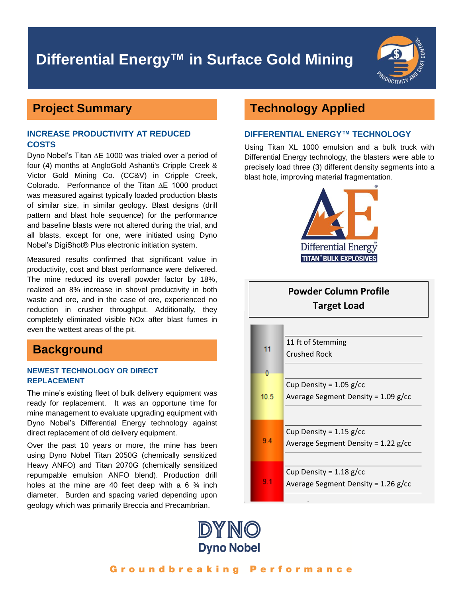# **Differential Energy™ in Surface Gold Mining**



### **Project Summary**

### **INCREASE PRODUCTIVITY AT REDUCED COSTS**

Dyno Nobel's Titan ∆E 1000 was trialed over a period of four (4) months at AngloGold Ashanti's Cripple Creek & Victor Gold Mining Co. (CC&V) in Cripple Creek, Colorado. Performance of the Titan ∆E 1000 product was measured against typically loaded production blasts of similar size, in similar geology. Blast designs (drill pattern and blast hole sequence) for the performance and baseline blasts were not altered during the trial, and all blasts, except for one, were initiated using Dyno Nobel's DigiShot® Plus electronic initiation system.

Measured results confirmed that significant value in productivity, cost and blast performance were delivered. The mine reduced its overall powder factor by 18%, realized an 8% increase in shovel productivity in both waste and ore, and in the case of ore, experienced no reduction in crusher throughput. Additionally, they completely eliminated visible NOx after blast fumes in even the wettest areas of the pit.

### **Background**

### **NEWEST TECHNOLOGY OR DIRECT REPLACEMENT**

The mine's existing fleet of bulk delivery equipment was ready for replacement. It was an opportune time for mine management to evaluate upgrading equipment with Dyno Nobel's Differential Energy technology against direct replacement of old delivery equipment.

Over the past 10 years or more, the mine has been using Dyno Nobel Titan 2050G (chemically sensitized Heavy ANFO) and Titan 2070G (chemically sensitized repumpable emulsion ANFO blend). Production drill holes at the mine are 40 feet deep with a 6  $\frac{3}{4}$  inch diameter. Burden and spacing varied depending upon geology which was primarily Breccia and Precambrian.

## **Technology Applied**

### **DIFFERENTIAL ENERGY™ TECHNOLOGY**

Using Titan XL 1000 emulsion and a bulk truck with Differential Energy technology, the blasters were able to precisely load three (3) different density segments into a blast hole, improving material fragmentation.



## **Powder Column Profile Target Load**